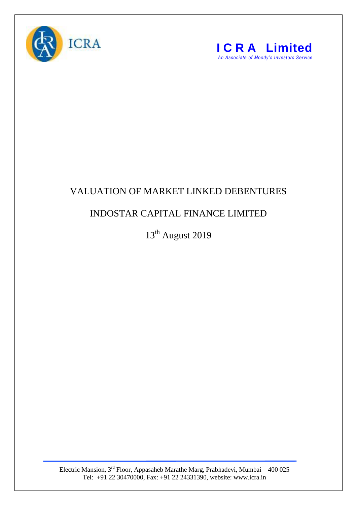



## VALUATION OF MARKET LINKED DEBENTURES

## INDOSTAR CAPITAL FINANCE LIMITED

13<sup>th</sup> August 2019

Electric Mansion,  $3<sup>rd</sup>$  Floor, Appasaheb Marathe Marg, Prabhadevi, Mumbai – 400 025 Tel: +91 22 30470000, Fax: +91 22 24331390, website: www.icra.in